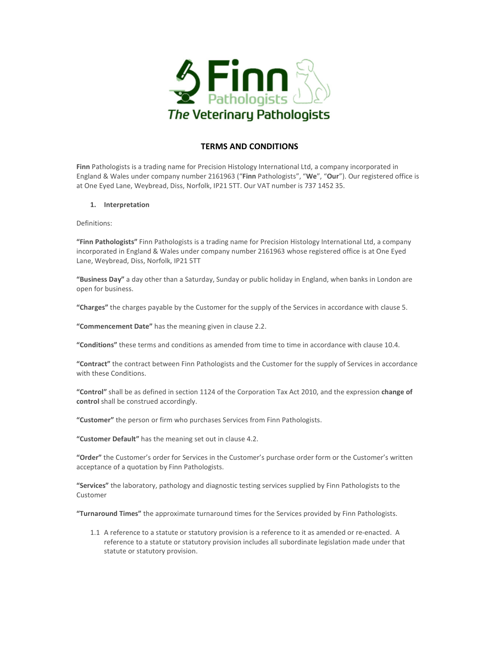

# TERMS AND CONDITIONS

Finn Pathologists is a trading name for Precision Histology International Ltd, a company incorporated in England & Wales under company number 2161963 ("Finn Pathologists", "We", "Our"). Our registered office is at One Eyed Lane, Weybread, Diss, Norfolk, IP21 5TT. Our VAT number is 737 1452 35.

1. Interpretation

Definitions:

"Finn Pathologists" Finn Pathologists is a trading name for Precision Histology International Ltd, a company incorporated in England & Wales under company number 2161963 whose registered office is at One Eyed Lane, Weybread, Diss, Norfolk, IP21 5TT

"Business Day" a day other than a Saturday, Sunday or public holiday in England, when banks in London are open for business.

"Charges" the charges payable by the Customer for the supply of the Services in accordance with clause 5.

"Commencement Date" has the meaning given in clause 2.2.

"Conditions" these terms and conditions as amended from time to time in accordance with clause 10.4.

"Contract" the contract between Finn Pathologists and the Customer for the supply of Services in accordance with these Conditions.

"Control" shall be as defined in section 1124 of the Corporation Tax Act 2010, and the expression change of control shall be construed accordingly.

"Customer" the person or firm who purchases Services from Finn Pathologists.

"Customer Default" has the meaning set out in clause 4.2.

"Order" the Customer's order for Services in the Customer's purchase order form or the Customer's written acceptance of a quotation by Finn Pathologists.

"Services" the laboratory, pathology and diagnostic testing services supplied by Finn Pathologists to the Customer

"Turnaround Times" the approximate turnaround times for the Services provided by Finn Pathologists.

1.1 A reference to a statute or statutory provision is a reference to it as amended or re-enacted. A reference to a statute or statutory provision includes all subordinate legislation made under that statute or statutory provision.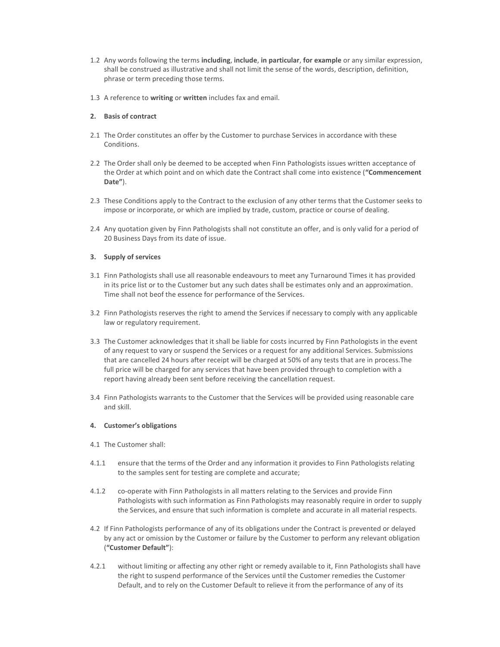- 1.2 Any words following the terms including, include, in particular, for example or any similar expression, shall be construed as illustrative and shall not limit the sense of the words, description, definition, phrase or term preceding those terms.
- 1.3 A reference to writing or written includes fax and email.

### 2. Basis of contract

- 2.1 The Order constitutes an offer by the Customer to purchase Services in accordance with these Conditions.
- 2.2 The Order shall only be deemed to be accepted when Finn Pathologists issues written acceptance of the Order at which point and on which date the Contract shall come into existence ("Commencement Date").
- 2.3 These Conditions apply to the Contract to the exclusion of any other terms that the Customer seeks to impose or incorporate, or which are implied by trade, custom, practice or course of dealing.
- 2.4 Any quotation given by Finn Pathologists shall not constitute an offer, and is only valid for a period of 20 Business Days from its date of issue.

### 3. Supply of services

- 3.1 Finn Pathologists shall use all reasonable endeavours to meet any Turnaround Times it has provided in its price list or to the Customer but any such dates shall be estimates only and an approximation. Time shall not beof the essence for performance of the Services.
- 3.2 Finn Pathologists reserves the right to amend the Services if necessary to comply with any applicable law or regulatory requirement.
- 3.3 The Customer acknowledges that it shall be liable for costs incurred by Finn Pathologists in the event of any request to vary or suspend the Services or a request for any additional Services. Submissions that are cancelled 24 hours after receipt will be charged at 50% of any tests that are in process.The full price will be charged for any services that have been provided through to completion with a report having already been sent before receiving the cancellation request.
- 3.4 Finn Pathologists warrants to the Customer that the Services will be provided using reasonable care and skill.

### 4. Customer's obligations

- 4.1 The Customer shall:
- 4.1.1 ensure that the terms of the Order and any information it provides to Finn Pathologists relating to the samples sent for testing are complete and accurate;
- 4.1.2 co-operate with Finn Pathologists in all matters relating to the Services and provide Finn Pathologists with such information as Finn Pathologists may reasonably require in order to supply the Services, and ensure that such information is complete and accurate in all material respects.
- 4.2 If Finn Pathologists performance of any of its obligations under the Contract is prevented or delayed by any act or omission by the Customer or failure by the Customer to perform any relevant obligation ("Customer Default"):
- 4.2.1 without limiting or affecting any other right or remedy available to it, Finn Pathologists shall have the right to suspend performance of the Services until the Customer remedies the Customer Default, and to rely on the Customer Default to relieve it from the performance of any of its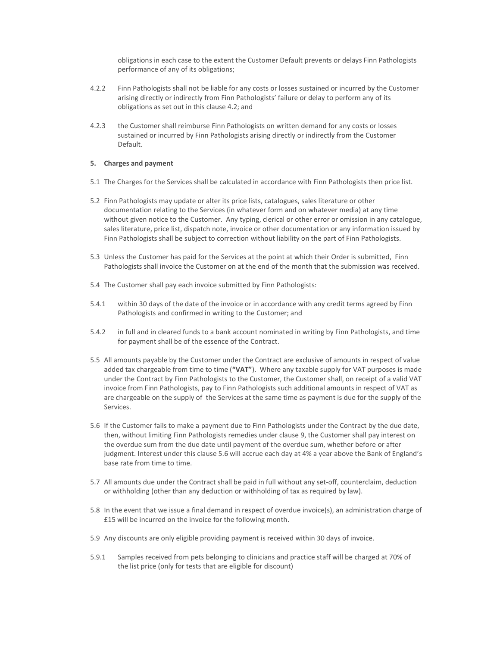obligations in each case to the extent the Customer Default prevents or delays Finn Pathologists performance of any of its obligations;

- 4.2.2 Finn Pathologists shall not be liable for any costs or losses sustained or incurred by the Customer arising directly or indirectly from Finn Pathologists' failure or delay to perform any of its obligations as set out in this clause 4.2; and
- 4.2.3 the Customer shall reimburse Finn Pathologists on written demand for any costs or losses sustained or incurred by Finn Pathologists arising directly or indirectly from the Customer Default.

### 5. Charges and payment

- 5.1 The Charges for the Services shall be calculated in accordance with Finn Pathologists then price list.
- 5.2 Finn Pathologists may update or alter its price lists, catalogues, sales literature or other documentation relating to the Services (in whatever form and on whatever media) at any time without given notice to the Customer. Any typing, clerical or other error or omission in any catalogue, sales literature, price list, dispatch note, invoice or other documentation or any information issued by Finn Pathologists shall be subject to correction without liability on the part of Finn Pathologists.
- 5.3 Unless the Customer has paid for the Services at the point at which their Order is submitted, Finn Pathologists shall invoice the Customer on at the end of the month that the submission was received.
- 5.4 The Customer shall pay each invoice submitted by Finn Pathologists:
- 5.4.1 within 30 days of the date of the invoice or in accordance with any credit terms agreed by Finn Pathologists and confirmed in writing to the Customer; and
- 5.4.2 in full and in cleared funds to a bank account nominated in writing by Finn Pathologists, and time for payment shall be of the essence of the Contract.
- 5.5 All amounts payable by the Customer under the Contract are exclusive of amounts in respect of value added tax chargeable from time to time ("VAT"). Where any taxable supply for VAT purposes is made under the Contract by Finn Pathologists to the Customer, the Customer shall, on receipt of a valid VAT invoice from Finn Pathologists, pay to Finn Pathologists such additional amounts in respect of VAT as are chargeable on the supply of the Services at the same time as payment is due for the supply of the Services.
- 5.6 If the Customer fails to make a payment due to Finn Pathologists under the Contract by the due date, then, without limiting Finn Pathologists remedies under clause 9, the Customer shall pay interest on the overdue sum from the due date until payment of the overdue sum, whether before or after judgment. Interest under this clause 5.6 will accrue each day at 4% a year above the Bank of England's base rate from time to time.
- 5.7 All amounts due under the Contract shall be paid in full without any set-off, counterclaim, deduction or withholding (other than any deduction or withholding of tax as required by law).
- 5.8 In the event that we issue a final demand in respect of overdue invoice(s), an administration charge of £15 will be incurred on the invoice for the following month.
- 5.9 Any discounts are only eligible providing payment is received within 30 days of invoice.
- 5.9.1 Samples received from pets belonging to clinicians and practice staff will be charged at 70% of the list price (only for tests that are eligible for discount)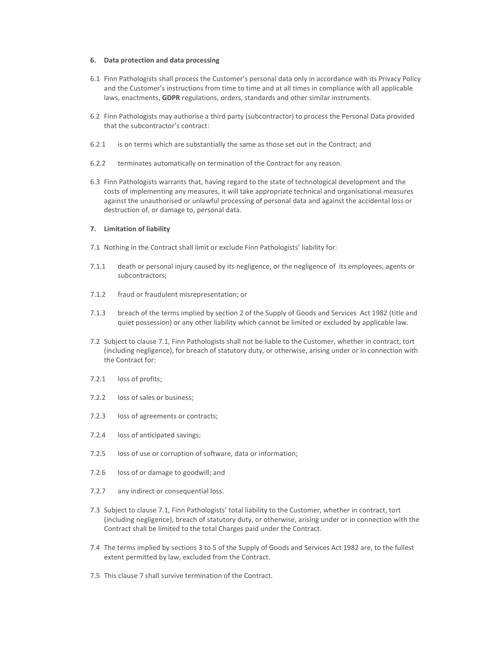#### 6. Data protection and data processing

- 6.1 Finn Pathologists shall process the Customer's personal data only in accordance with its Privacy Policy and the Customer's instructions from time to time and at all times in compliance with all applicable laws, enactments, GDPR regulations, orders, standards and other similar instruments.
- 6.2 Finn Pathologists may authorise a third party (subcontractor) to process the Personal Data provided that the subcontractor's contract:
- 6.2.1 is on terms which are substantially the same as those set out in the Contract; and
- 6.2.2 terminates automatically on termination of the Contract for any reason.
- 6.3 Finn Pathologists warrants that, having regard to the state of technological development and the costs of implementing any measures, it will take appropriate technical and organisational measures against the unauthorised or unlawful processing of personal data and against the accidental loss or destruction of, or damage to, personal data.

#### 7. Limitation of liability

- 7.1 Nothing in the Contract shall limit or exclude Finn Pathologists' liability for:
- 7.1.1 death or personal injury caused by its negligence, or the negligence of its employees, agents or subcontractors;
- 7.1.2 fraud or fraudulent misrepresentation; or
- 7.1.3 breach of the terms implied by section 2 of the Supply of Goods and Services Act 1982 (title and quiet possession) or any other liability which cannot be limited or excluded by applicable law.
- 7.2 Subject to clause 7.1, Finn Pathologists shall not be liable to the Customer, whether in contract, tort (including negligence), for breach of statutory duty, or otherwise, arising under or in connection with the Contract for:
- 7.2.1 loss of profits;
- 7.2.2 loss of sales or business;
- 7.2.3 loss of agreements or contracts;
- 7.2.4 loss of anticipated savings;
- 7.2.5 loss of use or corruption of software, data or information;
- 7.2.6 loss of or damage to goodwill; and
- 7.2.7 any indirect or consequential loss.
- 7.3 Subject to clause 7.1, Finn Pathologists' total liability to the Customer, whether in contract, tort (including negligence), breach of statutory duty, or otherwise, arising under or in connection with the Contract shall be limited to the total Charges paid under the Contract.
- 7.4 The terms implied by sections 3 to 5 of the Supply of Goods and Services Act 1982 are, to the fullest extent permitted by law, excluded from the Contract.
- 7.5 This clause 7 shall survive termination of the Contract.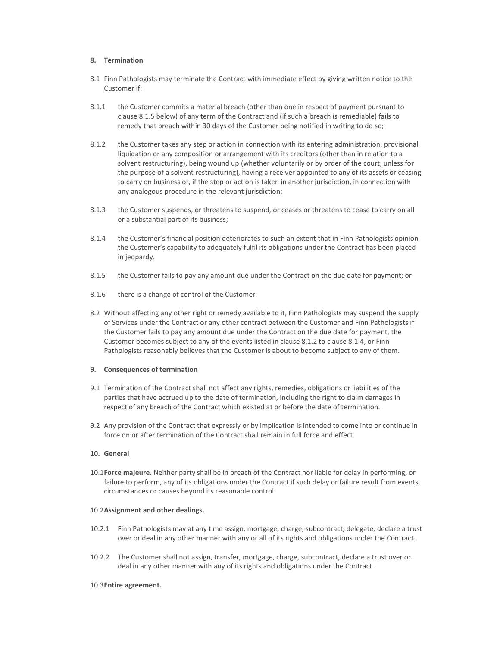### 8. Termination

- 8.1 Finn Pathologists may terminate the Contract with immediate effect by giving written notice to the Customer if:
- 8.1.1 the Customer commits a material breach (other than one in respect of payment pursuant to clause 8.1.5 below) of any term of the Contract and (if such a breach is remediable) fails to remedy that breach within 30 days of the Customer being notified in writing to do so;
- 8.1.2 the Customer takes any step or action in connection with its entering administration, provisional liquidation or any composition or arrangement with its creditors (other than in relation to a solvent restructuring), being wound up (whether voluntarily or by order of the court, unless for the purpose of a solvent restructuring), having a receiver appointed to any of its assets or ceasing to carry on business or, if the step or action is taken in another jurisdiction, in connection with any analogous procedure in the relevant jurisdiction;
- 8.1.3 the Customer suspends, or threatens to suspend, or ceases or threatens to cease to carry on all or a substantial part of its business;
- 8.1.4 the Customer's financial position deteriorates to such an extent that in Finn Pathologists opinion the Customer's capability to adequately fulfil its obligations under the Contract has been placed in jeopardy.
- 8.1.5 the Customer fails to pay any amount due under the Contract on the due date for payment; or
- 8.1.6 there is a change of control of the Customer.
- 8.2 Without affecting any other right or remedy available to it, Finn Pathologists may suspend the supply of Services under the Contract or any other contract between the Customer and Finn Pathologists if the Customer fails to pay any amount due under the Contract on the due date for payment, the Customer becomes subject to any of the events listed in clause 8.1.2 to clause 8.1.4, or Finn Pathologists reasonably believes that the Customer is about to become subject to any of them.

#### 9. Consequences of termination

- 9.1 Termination of the Contract shall not affect any rights, remedies, obligations or liabilities of the parties that have accrued up to the date of termination, including the right to claim damages in respect of any breach of the Contract which existed at or before the date of termination.
- 9.2 Any provision of the Contract that expressly or by implication is intended to come into or continue in force on or after termination of the Contract shall remain in full force and effect.

## 10. General

10.1Force majeure. Neither party shall be in breach of the Contract nor liable for delay in performing, or failure to perform, any of its obligations under the Contract if such delay or failure result from events, circumstances or causes beyond its reasonable control.

#### 10.2Assignment and other dealings.

- 10.2.1 Finn Pathologists may at any time assign, mortgage, charge, subcontract, delegate, declare a trust over or deal in any other manner with any or all of its rights and obligations under the Contract.
- 10.2.2 The Customer shall not assign, transfer, mortgage, charge, subcontract, declare a trust over or deal in any other manner with any of its rights and obligations under the Contract.

#### 10.3Entire agreement.